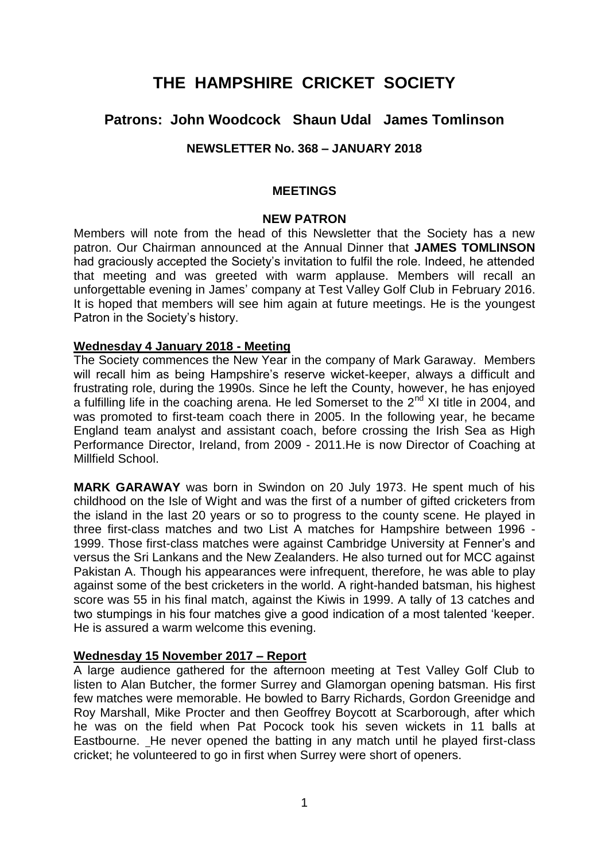# **THE HAMPSHIRE CRICKET SOCIETY**

# **Patrons: John Woodcock Shaun Udal James Tomlinson**

### **NEWSLETTER No. 368 – JANUARY 2018**

#### **MEETINGS**

#### **NEW PATRON**

Members will note from the head of this Newsletter that the Society has a new patron. Our Chairman announced at the Annual Dinner that **JAMES TOMLINSON**  had graciously accepted the Society's invitation to fulfil the role. Indeed, he attended that meeting and was greeted with warm applause. Members will recall an unforgettable evening in James' company at Test Valley Golf Club in February 2016. It is hoped that members will see him again at future meetings. He is the youngest Patron in the Society's history.

#### **Wednesday 4 January 2018 - Meeting**

The Society commences the New Year in the company of Mark Garaway. Members will recall him as being Hampshire's reserve wicket-keeper, always a difficult and frustrating role, during the 1990s. Since he left the County, however, he has enjoyed a fulfilling life in the coaching arena. He led Somerset to the  $2^{nd}$  XI title in 2004, and was promoted to first-team coach there in 2005. In the following year, he became England team analyst and assistant coach, before crossing the Irish Sea as High Performance Director, Ireland, from 2009 - 2011.He is now Director of Coaching at Millfield School.

**MARK GARAWAY** was born in Swindon on 20 July 1973. He spent much of his childhood on the Isle of Wight and was the first of a number of gifted cricketers from the island in the last 20 years or so to progress to the county scene. He played in three first-class matches and two List A matches for Hampshire between 1996 - 1999. Those first-class matches were against Cambridge University at Fenner's and versus the Sri Lankans and the New Zealanders. He also turned out for MCC against Pakistan A. Though his appearances were infrequent, therefore, he was able to play against some of the best cricketers in the world. A right-handed batsman, his highest score was 55 in his final match, against the Kiwis in 1999. A tally of 13 catches and two stumpings in his four matches give a good indication of a most talented 'keeper. He is assured a warm welcome this evening.

#### **Wednesday 15 November 2017 – Report**

A large audience gathered for the afternoon meeting at Test Valley Golf Club to listen to Alan Butcher, the former Surrey and Glamorgan opening batsman. His first few matches were memorable. He bowled to Barry Richards, Gordon Greenidge and Roy Marshall, Mike Procter and then Geoffrey Boycott at Scarborough, after which he was on the field when Pat Pocock took his seven wickets in 11 balls at Eastbourne. He never opened the batting in any match until he played first-class cricket; he volunteered to go in first when Surrey were short of openers.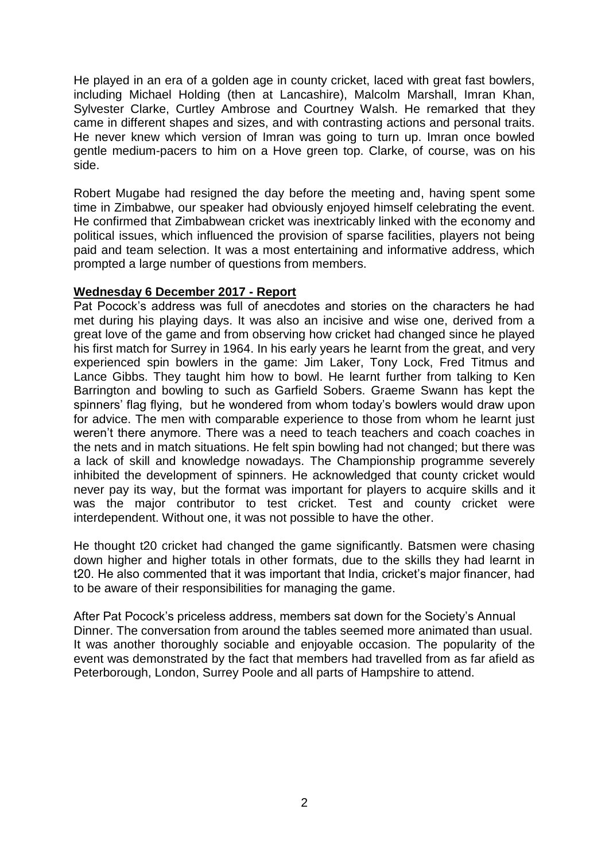He played in an era of a golden age in county cricket, laced with great fast bowlers, including Michael Holding (then at Lancashire), Malcolm Marshall, Imran Khan, Sylvester Clarke, Curtley Ambrose and Courtney Walsh. He remarked that they came in different shapes and sizes, and with contrasting actions and personal traits. He never knew which version of Imran was going to turn up. Imran once bowled gentle medium-pacers to him on a Hove green top. Clarke, of course, was on his side.

Robert Mugabe had resigned the day before the meeting and, having spent some time in Zimbabwe, our speaker had obviously enjoyed himself celebrating the event. He confirmed that Zimbabwean cricket was inextricably linked with the economy and political issues, which influenced the provision of sparse facilities, players not being paid and team selection. It was a most entertaining and informative address, which prompted a large number of questions from members.

#### **Wednesday 6 December 2017 - Report**

Pat Pocock's address was full of anecdotes and stories on the characters he had met during his playing days. It was also an incisive and wise one, derived from a great love of the game and from observing how cricket had changed since he played his first match for Surrey in 1964. In his early years he learnt from the great, and very experienced spin bowlers in the game: Jim Laker, Tony Lock, Fred Titmus and Lance Gibbs. They taught him how to bowl. He learnt further from talking to Ken Barrington and bowling to such as Garfield Sobers. Graeme Swann has kept the spinners' flag flying, but he wondered from whom today's bowlers would draw upon for advice. The men with comparable experience to those from whom he learnt just weren't there anymore. There was a need to teach teachers and coach coaches in the nets and in match situations. He felt spin bowling had not changed; but there was a lack of skill and knowledge nowadays. The Championship programme severely inhibited the development of spinners. He acknowledged that county cricket would never pay its way, but the format was important for players to acquire skills and it was the major contributor to test cricket. Test and county cricket were interdependent. Without one, it was not possible to have the other.

He thought t20 cricket had changed the game significantly. Batsmen were chasing down higher and higher totals in other formats, due to the skills they had learnt in t20. He also commented that it was important that India, cricket's major financer, had to be aware of their responsibilities for managing the game.

After Pat Pocock's priceless address, members sat down for the Society's Annual Dinner. The conversation from around the tables seemed more animated than usual. It was another thoroughly sociable and enjoyable occasion. The popularity of the event was demonstrated by the fact that members had travelled from as far afield as Peterborough, London, Surrey Poole and all parts of Hampshire to attend.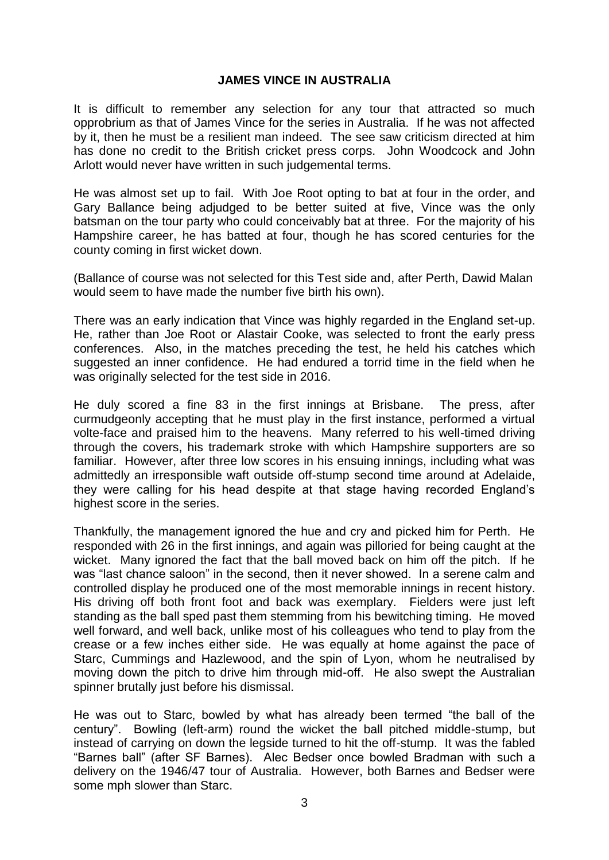#### **JAMES VINCE IN AUSTRALIA**

It is difficult to remember any selection for any tour that attracted so much opprobrium as that of James Vince for the series in Australia. If he was not affected by it, then he must be a resilient man indeed. The see saw criticism directed at him has done no credit to the British cricket press corps. John Woodcock and John Arlott would never have written in such judgemental terms.

He was almost set up to fail. With Joe Root opting to bat at four in the order, and Gary Ballance being adjudged to be better suited at five, Vince was the only batsman on the tour party who could conceivably bat at three. For the majority of his Hampshire career, he has batted at four, though he has scored centuries for the county coming in first wicket down.

(Ballance of course was not selected for this Test side and, after Perth, Dawid Malan would seem to have made the number five birth his own).

There was an early indication that Vince was highly regarded in the England set-up. He, rather than Joe Root or Alastair Cooke, was selected to front the early press conferences. Also, in the matches preceding the test, he held his catches which suggested an inner confidence. He had endured a torrid time in the field when he was originally selected for the test side in 2016.

He duly scored a fine 83 in the first innings at Brisbane. The press, after curmudgeonly accepting that he must play in the first instance, performed a virtual volte-face and praised him to the heavens. Many referred to his well-timed driving through the covers, his trademark stroke with which Hampshire supporters are so familiar. However, after three low scores in his ensuing innings, including what was admittedly an irresponsible waft outside off-stump second time around at Adelaide, they were calling for his head despite at that stage having recorded England's highest score in the series.

Thankfully, the management ignored the hue and cry and picked him for Perth. He responded with 26 in the first innings, and again was pilloried for being caught at the wicket. Many ignored the fact that the ball moved back on him off the pitch. If he was "last chance saloon" in the second, then it never showed. In a serene calm and controlled display he produced one of the most memorable innings in recent history. His driving off both front foot and back was exemplary. Fielders were just left standing as the ball sped past them stemming from his bewitching timing. He moved well forward, and well back, unlike most of his colleagues who tend to play from the crease or a few inches either side. He was equally at home against the pace of Starc, Cummings and Hazlewood, and the spin of Lyon, whom he neutralised by moving down the pitch to drive him through mid-off. He also swept the Australian spinner brutally just before his dismissal.

He was out to Starc, bowled by what has already been termed "the ball of the century". Bowling (left-arm) round the wicket the ball pitched middle-stump, but instead of carrying on down the legside turned to hit the off-stump. It was the fabled "Barnes ball" (after SF Barnes). Alec Bedser once bowled Bradman with such a delivery on the 1946/47 tour of Australia. However, both Barnes and Bedser were some mph slower than Starc.